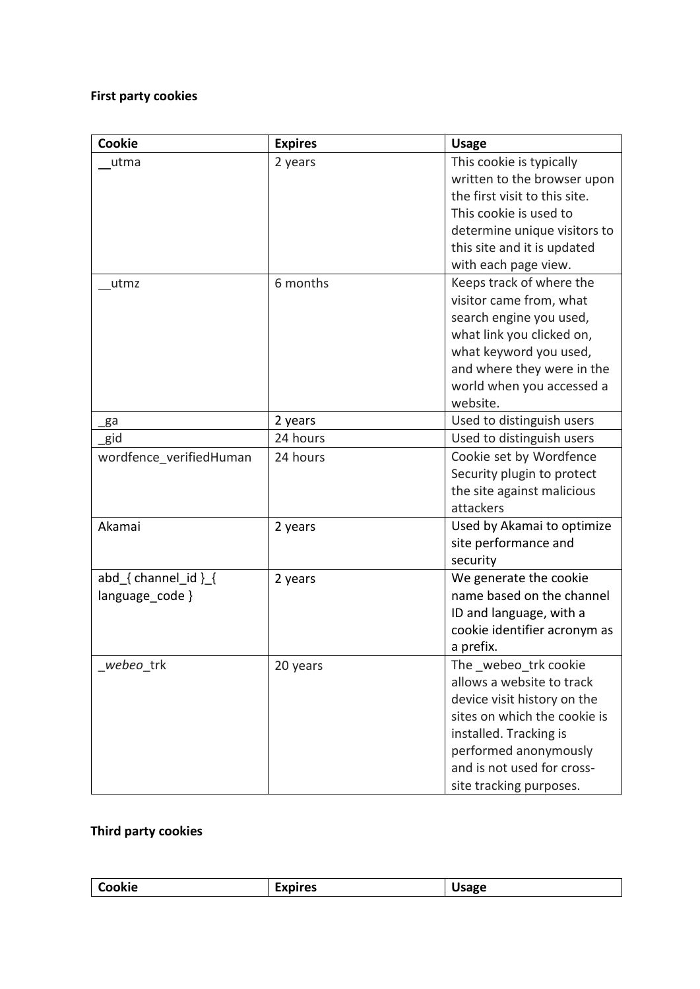## **First party cookies**

| Cookie                  | <b>Expires</b> | <b>Usage</b>                  |
|-------------------------|----------------|-------------------------------|
| utma                    | 2 years        | This cookie is typically      |
|                         |                | written to the browser upon   |
|                         |                | the first visit to this site. |
|                         |                | This cookie is used to        |
|                         |                | determine unique visitors to  |
|                         |                | this site and it is updated   |
|                         |                | with each page view.          |
| utmz                    | 6 months       | Keeps track of where the      |
|                         |                | visitor came from, what       |
|                         |                | search engine you used,       |
|                         |                | what link you clicked on,     |
|                         |                | what keyword you used,        |
|                         |                | and where they were in the    |
|                         |                | world when you accessed a     |
|                         |                | website.                      |
| ga                      | 2 years        | Used to distinguish users     |
| gid                     | 24 hours       | Used to distinguish users     |
| wordfence verifiedHuman | 24 hours       | Cookie set by Wordfence       |
|                         |                | Security plugin to protect    |
|                         |                | the site against malicious    |
|                         |                | attackers                     |
| Akamai                  | 2 years        | Used by Akamai to optimize    |
|                         |                | site performance and          |
|                         |                | security                      |
| abd { channel_id } {    | 2 years        | We generate the cookie        |
| language code }         |                | name based on the channel     |
|                         |                | ID and language, with a       |
|                         |                | cookie identifier acronym as  |
|                         |                | a prefix.                     |
| webeo trk               | 20 years       | The _webeo_trk cookie         |
|                         |                | allows a website to track     |
|                         |                | device visit history on the   |
|                         |                | sites on which the cookie is  |
|                         |                | installed. Tracking is        |
|                         |                | performed anonymously         |
|                         |                | and is not used for cross-    |
|                         |                | site tracking purposes.       |

## **Third party cookies**

| ำkie<br>ີ |
|-----------|
|-----------|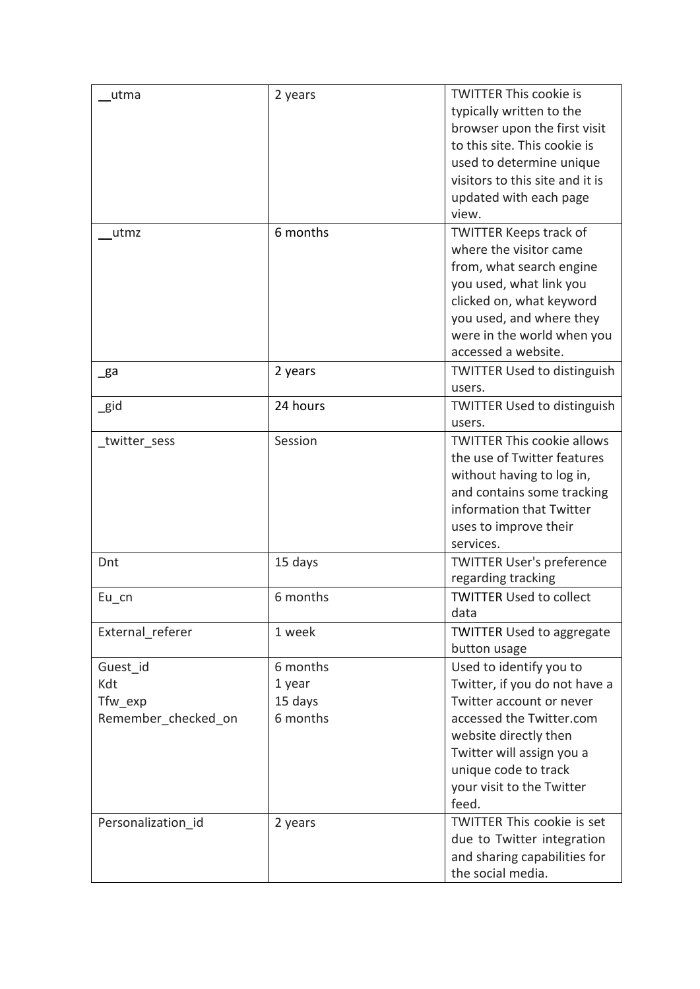| typically written to the<br>browser upon the first visit<br>to this site. This cookie is<br>used to determine unique<br>visitors to this site and it is<br>updated with each page<br>view.<br>6 months<br><b>TWITTER Keeps track of</b><br>utmz<br>where the visitor came<br>from, what search engine<br>you used, what link you<br>clicked on, what keyword<br>you used, and where they<br>were in the world when you<br>accessed a website.<br><b>TWITTER Used to distinguish</b><br>2 years<br>_ga<br>users.<br>24 hours<br><b>TWITTER Used to distinguish</b><br>$\_$ gid<br>users.<br>Session<br><b>TWITTER This cookie allows</b><br>twitter_sess<br>the use of Twitter features<br>without having to log in,<br>and contains some tracking<br>information that Twitter<br>uses to improve their<br>services.<br><b>TWITTER User's preference</b><br>Dnt<br>15 days<br>regarding tracking<br><b>TWITTER Used to collect</b><br>6 months<br>$Eu_{cn}$<br>data<br>External referer<br>1 week<br><b>TWITTER Used to aggregate</b><br>button usage<br>Used to identify you to<br>Guest id<br>6 months<br>Kdt<br>Twitter, if you do not have a<br>1 year<br>Tfw exp<br>15 days<br>Twitter account or never<br>6 months<br>accessed the Twitter.com<br>Remember checked on<br>website directly then<br>Twitter will assign you a<br>unique code to track | utma | 2 years | <b>TWITTER This cookie is</b> |
|----------------------------------------------------------------------------------------------------------------------------------------------------------------------------------------------------------------------------------------------------------------------------------------------------------------------------------------------------------------------------------------------------------------------------------------------------------------------------------------------------------------------------------------------------------------------------------------------------------------------------------------------------------------------------------------------------------------------------------------------------------------------------------------------------------------------------------------------------------------------------------------------------------------------------------------------------------------------------------------------------------------------------------------------------------------------------------------------------------------------------------------------------------------------------------------------------------------------------------------------------------------------------------------------------------------------------------------------------------|------|---------|-------------------------------|
|                                                                                                                                                                                                                                                                                                                                                                                                                                                                                                                                                                                                                                                                                                                                                                                                                                                                                                                                                                                                                                                                                                                                                                                                                                                                                                                                                          |      |         |                               |
|                                                                                                                                                                                                                                                                                                                                                                                                                                                                                                                                                                                                                                                                                                                                                                                                                                                                                                                                                                                                                                                                                                                                                                                                                                                                                                                                                          |      |         |                               |
|                                                                                                                                                                                                                                                                                                                                                                                                                                                                                                                                                                                                                                                                                                                                                                                                                                                                                                                                                                                                                                                                                                                                                                                                                                                                                                                                                          |      |         |                               |
|                                                                                                                                                                                                                                                                                                                                                                                                                                                                                                                                                                                                                                                                                                                                                                                                                                                                                                                                                                                                                                                                                                                                                                                                                                                                                                                                                          |      |         |                               |
|                                                                                                                                                                                                                                                                                                                                                                                                                                                                                                                                                                                                                                                                                                                                                                                                                                                                                                                                                                                                                                                                                                                                                                                                                                                                                                                                                          |      |         |                               |
|                                                                                                                                                                                                                                                                                                                                                                                                                                                                                                                                                                                                                                                                                                                                                                                                                                                                                                                                                                                                                                                                                                                                                                                                                                                                                                                                                          |      |         |                               |
|                                                                                                                                                                                                                                                                                                                                                                                                                                                                                                                                                                                                                                                                                                                                                                                                                                                                                                                                                                                                                                                                                                                                                                                                                                                                                                                                                          |      |         |                               |
|                                                                                                                                                                                                                                                                                                                                                                                                                                                                                                                                                                                                                                                                                                                                                                                                                                                                                                                                                                                                                                                                                                                                                                                                                                                                                                                                                          |      |         |                               |
|                                                                                                                                                                                                                                                                                                                                                                                                                                                                                                                                                                                                                                                                                                                                                                                                                                                                                                                                                                                                                                                                                                                                                                                                                                                                                                                                                          |      |         |                               |
|                                                                                                                                                                                                                                                                                                                                                                                                                                                                                                                                                                                                                                                                                                                                                                                                                                                                                                                                                                                                                                                                                                                                                                                                                                                                                                                                                          |      |         |                               |
|                                                                                                                                                                                                                                                                                                                                                                                                                                                                                                                                                                                                                                                                                                                                                                                                                                                                                                                                                                                                                                                                                                                                                                                                                                                                                                                                                          |      |         |                               |
|                                                                                                                                                                                                                                                                                                                                                                                                                                                                                                                                                                                                                                                                                                                                                                                                                                                                                                                                                                                                                                                                                                                                                                                                                                                                                                                                                          |      |         |                               |
|                                                                                                                                                                                                                                                                                                                                                                                                                                                                                                                                                                                                                                                                                                                                                                                                                                                                                                                                                                                                                                                                                                                                                                                                                                                                                                                                                          |      |         |                               |
|                                                                                                                                                                                                                                                                                                                                                                                                                                                                                                                                                                                                                                                                                                                                                                                                                                                                                                                                                                                                                                                                                                                                                                                                                                                                                                                                                          |      |         |                               |
|                                                                                                                                                                                                                                                                                                                                                                                                                                                                                                                                                                                                                                                                                                                                                                                                                                                                                                                                                                                                                                                                                                                                                                                                                                                                                                                                                          |      |         |                               |
|                                                                                                                                                                                                                                                                                                                                                                                                                                                                                                                                                                                                                                                                                                                                                                                                                                                                                                                                                                                                                                                                                                                                                                                                                                                                                                                                                          |      |         |                               |
|                                                                                                                                                                                                                                                                                                                                                                                                                                                                                                                                                                                                                                                                                                                                                                                                                                                                                                                                                                                                                                                                                                                                                                                                                                                                                                                                                          |      |         |                               |
|                                                                                                                                                                                                                                                                                                                                                                                                                                                                                                                                                                                                                                                                                                                                                                                                                                                                                                                                                                                                                                                                                                                                                                                                                                                                                                                                                          |      |         |                               |
|                                                                                                                                                                                                                                                                                                                                                                                                                                                                                                                                                                                                                                                                                                                                                                                                                                                                                                                                                                                                                                                                                                                                                                                                                                                                                                                                                          |      |         |                               |
|                                                                                                                                                                                                                                                                                                                                                                                                                                                                                                                                                                                                                                                                                                                                                                                                                                                                                                                                                                                                                                                                                                                                                                                                                                                                                                                                                          |      |         |                               |
|                                                                                                                                                                                                                                                                                                                                                                                                                                                                                                                                                                                                                                                                                                                                                                                                                                                                                                                                                                                                                                                                                                                                                                                                                                                                                                                                                          |      |         |                               |
|                                                                                                                                                                                                                                                                                                                                                                                                                                                                                                                                                                                                                                                                                                                                                                                                                                                                                                                                                                                                                                                                                                                                                                                                                                                                                                                                                          |      |         |                               |
|                                                                                                                                                                                                                                                                                                                                                                                                                                                                                                                                                                                                                                                                                                                                                                                                                                                                                                                                                                                                                                                                                                                                                                                                                                                                                                                                                          |      |         |                               |
|                                                                                                                                                                                                                                                                                                                                                                                                                                                                                                                                                                                                                                                                                                                                                                                                                                                                                                                                                                                                                                                                                                                                                                                                                                                                                                                                                          |      |         |                               |
|                                                                                                                                                                                                                                                                                                                                                                                                                                                                                                                                                                                                                                                                                                                                                                                                                                                                                                                                                                                                                                                                                                                                                                                                                                                                                                                                                          |      |         |                               |
|                                                                                                                                                                                                                                                                                                                                                                                                                                                                                                                                                                                                                                                                                                                                                                                                                                                                                                                                                                                                                                                                                                                                                                                                                                                                                                                                                          |      |         |                               |
|                                                                                                                                                                                                                                                                                                                                                                                                                                                                                                                                                                                                                                                                                                                                                                                                                                                                                                                                                                                                                                                                                                                                                                                                                                                                                                                                                          |      |         |                               |
|                                                                                                                                                                                                                                                                                                                                                                                                                                                                                                                                                                                                                                                                                                                                                                                                                                                                                                                                                                                                                                                                                                                                                                                                                                                                                                                                                          |      |         |                               |
|                                                                                                                                                                                                                                                                                                                                                                                                                                                                                                                                                                                                                                                                                                                                                                                                                                                                                                                                                                                                                                                                                                                                                                                                                                                                                                                                                          |      |         |                               |
|                                                                                                                                                                                                                                                                                                                                                                                                                                                                                                                                                                                                                                                                                                                                                                                                                                                                                                                                                                                                                                                                                                                                                                                                                                                                                                                                                          |      |         |                               |
|                                                                                                                                                                                                                                                                                                                                                                                                                                                                                                                                                                                                                                                                                                                                                                                                                                                                                                                                                                                                                                                                                                                                                                                                                                                                                                                                                          |      |         |                               |
|                                                                                                                                                                                                                                                                                                                                                                                                                                                                                                                                                                                                                                                                                                                                                                                                                                                                                                                                                                                                                                                                                                                                                                                                                                                                                                                                                          |      |         |                               |
|                                                                                                                                                                                                                                                                                                                                                                                                                                                                                                                                                                                                                                                                                                                                                                                                                                                                                                                                                                                                                                                                                                                                                                                                                                                                                                                                                          |      |         |                               |
|                                                                                                                                                                                                                                                                                                                                                                                                                                                                                                                                                                                                                                                                                                                                                                                                                                                                                                                                                                                                                                                                                                                                                                                                                                                                                                                                                          |      |         |                               |
|                                                                                                                                                                                                                                                                                                                                                                                                                                                                                                                                                                                                                                                                                                                                                                                                                                                                                                                                                                                                                                                                                                                                                                                                                                                                                                                                                          |      |         |                               |
|                                                                                                                                                                                                                                                                                                                                                                                                                                                                                                                                                                                                                                                                                                                                                                                                                                                                                                                                                                                                                                                                                                                                                                                                                                                                                                                                                          |      |         |                               |
|                                                                                                                                                                                                                                                                                                                                                                                                                                                                                                                                                                                                                                                                                                                                                                                                                                                                                                                                                                                                                                                                                                                                                                                                                                                                                                                                                          |      |         |                               |
|                                                                                                                                                                                                                                                                                                                                                                                                                                                                                                                                                                                                                                                                                                                                                                                                                                                                                                                                                                                                                                                                                                                                                                                                                                                                                                                                                          |      |         |                               |
|                                                                                                                                                                                                                                                                                                                                                                                                                                                                                                                                                                                                                                                                                                                                                                                                                                                                                                                                                                                                                                                                                                                                                                                                                                                                                                                                                          |      |         |                               |
|                                                                                                                                                                                                                                                                                                                                                                                                                                                                                                                                                                                                                                                                                                                                                                                                                                                                                                                                                                                                                                                                                                                                                                                                                                                                                                                                                          |      |         | your visit to the Twitter     |
| feed.                                                                                                                                                                                                                                                                                                                                                                                                                                                                                                                                                                                                                                                                                                                                                                                                                                                                                                                                                                                                                                                                                                                                                                                                                                                                                                                                                    |      |         |                               |
| <b>TWITTER This cookie is set</b><br>Personalization id<br>2 years                                                                                                                                                                                                                                                                                                                                                                                                                                                                                                                                                                                                                                                                                                                                                                                                                                                                                                                                                                                                                                                                                                                                                                                                                                                                                       |      |         |                               |
| due to Twitter integration                                                                                                                                                                                                                                                                                                                                                                                                                                                                                                                                                                                                                                                                                                                                                                                                                                                                                                                                                                                                                                                                                                                                                                                                                                                                                                                               |      |         |                               |
| and sharing capabilities for                                                                                                                                                                                                                                                                                                                                                                                                                                                                                                                                                                                                                                                                                                                                                                                                                                                                                                                                                                                                                                                                                                                                                                                                                                                                                                                             |      |         |                               |
| the social media.                                                                                                                                                                                                                                                                                                                                                                                                                                                                                                                                                                                                                                                                                                                                                                                                                                                                                                                                                                                                                                                                                                                                                                                                                                                                                                                                        |      |         |                               |